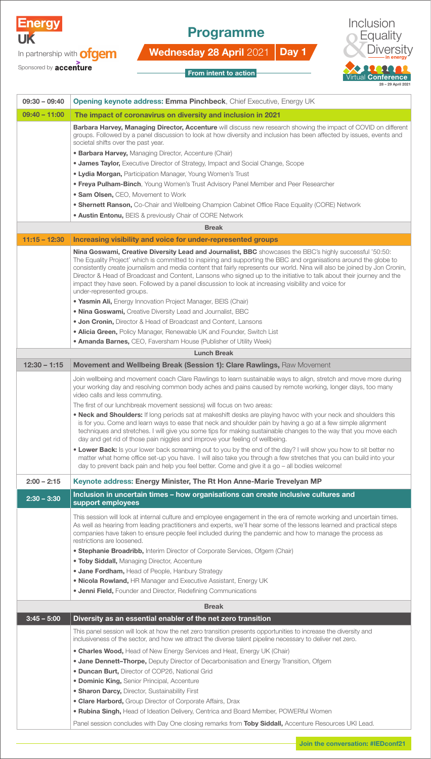

In partnership with **ofgem** 

## Programme

Wednesday 28 April 2021 Day 1





| From intent to action |  |
|-----------------------|--|

| $09:30 - 09:40$ | <b>Opening keynote address: Emma Pinchbeck, Chief Executive, Energy UK</b>                                                                                                                                                                                                                                                                                                                                                                                                                                                                                                                                                |
|-----------------|---------------------------------------------------------------------------------------------------------------------------------------------------------------------------------------------------------------------------------------------------------------------------------------------------------------------------------------------------------------------------------------------------------------------------------------------------------------------------------------------------------------------------------------------------------------------------------------------------------------------------|
| $09:40 - 11:00$ | The impact of coronavirus on diversity and inclusion in 2021                                                                                                                                                                                                                                                                                                                                                                                                                                                                                                                                                              |
|                 | Barbara Harvey, Managing Director, Accenture will discuss new research showing the impact of COVID on different<br>groups. Followed by a panel discussion to look at how diversity and inclusion has been affected by issues, events and<br>societal shifts over the past year.                                                                                                                                                                                                                                                                                                                                           |
|                 | • Barbara Harvey, Managing Director, Accenture (Chair)                                                                                                                                                                                                                                                                                                                                                                                                                                                                                                                                                                    |
|                 | <b>• James Taylor, Executive Director of Strategy, Impact and Social Change, Scope</b>                                                                                                                                                                                                                                                                                                                                                                                                                                                                                                                                    |
|                 | <b>• Lydia Morgan, Participation Manager, Young Women's Trust</b>                                                                                                                                                                                                                                                                                                                                                                                                                                                                                                                                                         |
|                 | . Freya Pulham-Binch, Young Women's Trust Advisory Panel Member and Peer Researcher                                                                                                                                                                                                                                                                                                                                                                                                                                                                                                                                       |
|                 | • Sam Olsen, CEO, Movement to Work                                                                                                                                                                                                                                                                                                                                                                                                                                                                                                                                                                                        |
|                 | . Shernett Ranson, Co-Chair and Wellbeing Champion Cabinet Office Race Equality (CORE) Network                                                                                                                                                                                                                                                                                                                                                                                                                                                                                                                            |
|                 | <b>. Austin Entonu, BEIS &amp; previously Chair of CORE Network</b>                                                                                                                                                                                                                                                                                                                                                                                                                                                                                                                                                       |
|                 | <b>Break</b>                                                                                                                                                                                                                                                                                                                                                                                                                                                                                                                                                                                                              |
| $11:15 - 12:30$ | Increasing visibility and voice for under-represented groups                                                                                                                                                                                                                                                                                                                                                                                                                                                                                                                                                              |
|                 | Nina Goswami, Creative Diversity Lead and Journalist, BBC showcases the BBC's highly successful '50:50:<br>The Equality Project' which is committed to inspiring and supporting the BBC and organisations around the globe to<br>consistently create journalism and media content that fairly represents our world. Nina will also be joined by Jon Cronin,<br>Director & Head of Broadcast and Content, Lansons who signed up to the initiative to talk about their journey and the<br>impact they have seen. Followed by a panel discussion to look at increasing visibility and voice for<br>under-represented groups. |
|                 | . Yasmin Ali, Energy Innovation Project Manager, BEIS (Chair)                                                                                                                                                                                                                                                                                                                                                                                                                                                                                                                                                             |
|                 | . Nina Goswami, Creative Diversity Lead and Journalist, BBC                                                                                                                                                                                                                                                                                                                                                                                                                                                                                                                                                               |
|                 | • Jon Cronin, Director & Head of Broadcast and Content, Lansons                                                                                                                                                                                                                                                                                                                                                                                                                                                                                                                                                           |
|                 | . Alicia Green, Policy Manager, Renewable UK and Founder, Switch List                                                                                                                                                                                                                                                                                                                                                                                                                                                                                                                                                     |
|                 | • Amanda Barnes, CEO, Faversham House (Publisher of Utility Week)                                                                                                                                                                                                                                                                                                                                                                                                                                                                                                                                                         |
|                 | <b>Lunch Break</b>                                                                                                                                                                                                                                                                                                                                                                                                                                                                                                                                                                                                        |
| $12:30 - 1:15$  | Movement and Wellbeing Break (Session 1): Clare Rawlings, Raw Movement                                                                                                                                                                                                                                                                                                                                                                                                                                                                                                                                                    |
|                 | Join wellbeing and movement coach Clare Rawlings to learn sustainable ways to align, stretch and move more during<br>your working day and resolving common body aches and pains caused by remote working, longer days, too many<br>video calls and less commuting.                                                                                                                                                                                                                                                                                                                                                        |
|                 | The first of our lunchbreak movement sessions) will focus on two areas:<br>. Neck and Shoulders: If long periods sat at makeshift desks are playing havoc with your neck and shoulders this<br>is for you. Come and learn ways to ease that neck and shoulder pain by having a go at a few simple alignment<br>techniques and stretches. I will give you some tips for making sustainable changes to the way that you move each<br>day and get rid of those pain niggles and improve your feeling of wellbeing.                                                                                                           |
|                 | . Lower Back: Is your lower back screaming out to you by the end of the day? I will show you how to sit better no<br>matter what home office set-up you have. I will also take you through a few stretches that you can build into your<br>day to prevent back pain and help you feel better. Come and give it a go - all bodies welcome!                                                                                                                                                                                                                                                                                 |
| $2:00 - 2:15$   | Keynote address: Energy Minister, The Rt Hon Anne-Marie Trevelyan MP                                                                                                                                                                                                                                                                                                                                                                                                                                                                                                                                                      |
| $2:30 - 3:30$   | Inclusion in uncertain times - how organisations can create inclusive cultures and<br>support employees                                                                                                                                                                                                                                                                                                                                                                                                                                                                                                                   |
|                 | This session will look at internal culture and employee engagement in the era of remote working and uncertain times.<br>As well as hearing from leading practitioners and experts, we'll hear some of the lessons learned and practical steps<br>companies have taken to ensure people feel included during the pandemic and how to manage the process as<br>restrictions are loosened.                                                                                                                                                                                                                                   |
|                 | • Stephanie Broadribb, Interim Director of Corporate Services, Ofgem (Chair)                                                                                                                                                                                                                                                                                                                                                                                                                                                                                                                                              |
|                 | . Toby Siddall, Managing Director, Accenture                                                                                                                                                                                                                                                                                                                                                                                                                                                                                                                                                                              |
|                 | <b>• Jane Fordham, Head of People, Hanbury Strategy</b>                                                                                                                                                                                                                                                                                                                                                                                                                                                                                                                                                                   |
|                 | . Nicola Rowland, HR Manager and Executive Assistant, Energy UK                                                                                                                                                                                                                                                                                                                                                                                                                                                                                                                                                           |
|                 | • Jenni Field, Founder and Director, Redefining Communications                                                                                                                                                                                                                                                                                                                                                                                                                                                                                                                                                            |
|                 | <b>Break</b>                                                                                                                                                                                                                                                                                                                                                                                                                                                                                                                                                                                                              |
| $3:45 - 5:00$   | Diversity as an essential enabler of the net zero transition                                                                                                                                                                                                                                                                                                                                                                                                                                                                                                                                                              |
|                 | This panel session will look at how the net zero transition presents opportunities to increase the diversity and<br>inclusiveness of the sector, and how we attract the diverse talent pipeline necessary to deliver net zero.                                                                                                                                                                                                                                                                                                                                                                                            |
|                 | • Charles Wood, Head of New Energy Services and Heat, Energy UK (Chair)                                                                                                                                                                                                                                                                                                                                                                                                                                                                                                                                                   |
|                 | . Jane Dennett-Thorpe, Deputy Director of Decarbonisation and Energy Transition, Ofgem                                                                                                                                                                                                                                                                                                                                                                                                                                                                                                                                    |
|                 | . Duncan Burt, Director of COP26, National Grid                                                                                                                                                                                                                                                                                                                                                                                                                                                                                                                                                                           |
|                 | <b>• Dominic King, Senior Principal, Accenture</b>                                                                                                                                                                                                                                                                                                                                                                                                                                                                                                                                                                        |
|                 | • Sharon Darcy, Director, Sustainability First                                                                                                                                                                                                                                                                                                                                                                                                                                                                                                                                                                            |
|                 | • Clare Harbord, Group Director of Corporate Affairs, Drax                                                                                                                                                                                                                                                                                                                                                                                                                                                                                                                                                                |
|                 | . Rubina Singh, Head of Ideation Delivery, Centrica and Board Member, POWERful Women                                                                                                                                                                                                                                                                                                                                                                                                                                                                                                                                      |
|                 | Panel session concludes with Day One closing remarks from Toby Siddall, Accenture Resources UKI Lead.                                                                                                                                                                                                                                                                                                                                                                                                                                                                                                                     |